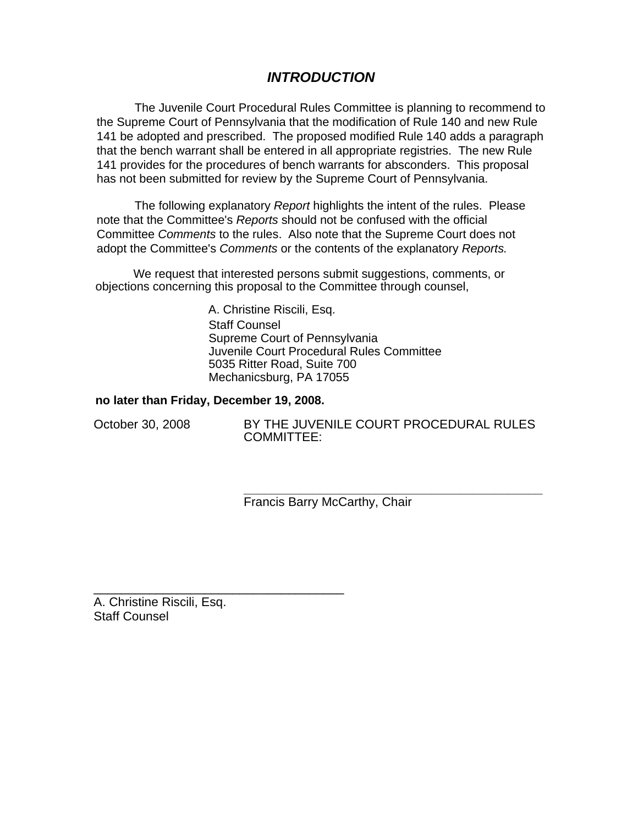# *INTRODUCTION*

The Juvenile Court Procedural Rules Committee is planning to recommend to the Supreme Court of Pennsylvania that the modification of Rule 140 and new Rule 141 be adopted and prescribed. The proposed modified Rule 140 adds a paragraph that the bench warrant shall be entered in all appropriate registries. The new Rule 141 provides for the procedures of bench warrants for absconders. This proposal has not been submitted for review by the Supreme Court of Pennsylvania.

The following explanatory *Report* highlights the intent of the rules. Please note that the Committee's *Reports* should not be confused with the official Committee *Comments* to the rules. Also note that the Supreme Court does not adopt the Committee's *Comments* or the contents of the explanatory *Reports.* 

We request that interested persons submit suggestions, comments, or objections concerning this proposal to the Committee through counsel,

> A. Christine Riscili, Esq. Staff Counsel Supreme Court of Pennsylvania Juvenile Court Procedural Rules Committee 5035 Ritter Road, Suite 700 Mechanicsburg, PA 17055

#### **no later than Friday, December 19, 2008.**

\_\_\_\_\_\_\_\_\_\_\_\_\_\_\_\_\_\_\_\_\_\_\_\_\_\_\_\_\_\_\_\_\_\_\_\_

October 30, 2008 BY THE JUVENILE COURT PROCEDURAL RULES COMMITTEE:

> **\_\_\_\_\_\_\_\_\_\_\_\_\_\_\_\_\_\_\_\_\_\_\_\_\_\_\_\_\_\_\_\_\_\_\_\_\_\_\_\_\_\_\_**  Francis Barry McCarthy, Chair

A. Christine Riscili, Esq. Staff Counsel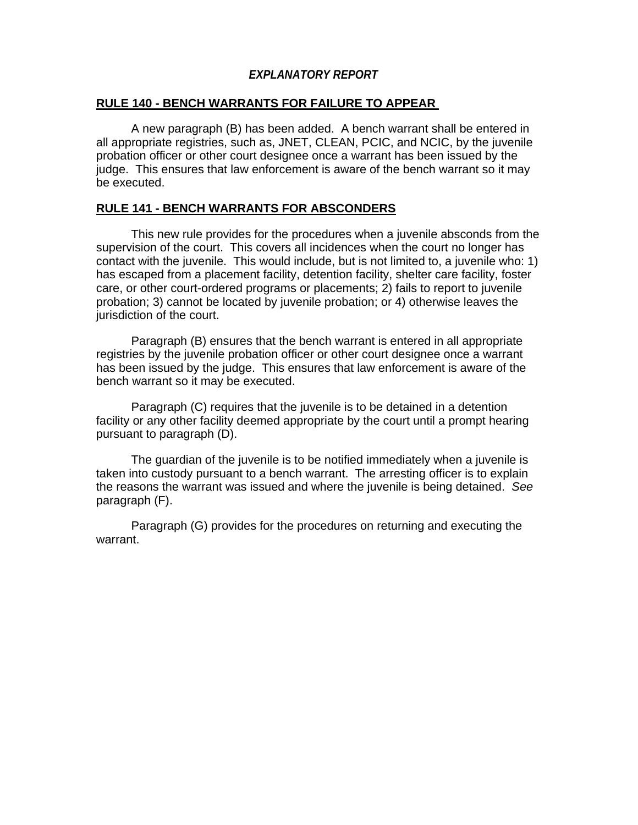## *EXPLANATORY REPORT*

#### **RULE 140 - BENCH WARRANTS FOR FAILURE TO APPEAR**

 A new paragraph (B) has been added. A bench warrant shall be entered in all appropriate registries, such as, JNET, CLEAN, PCIC, and NCIC, by the juvenile probation officer or other court designee once a warrant has been issued by the judge. This ensures that law enforcement is aware of the bench warrant so it may be executed.

#### **RULE 141 - BENCH WARRANTS FOR ABSCONDERS**

 This new rule provides for the procedures when a juvenile absconds from the supervision of the court. This covers all incidences when the court no longer has contact with the juvenile. This would include, but is not limited to, a juvenile who: 1) has escaped from a placement facility, detention facility, shelter care facility, foster care, or other court-ordered programs or placements; 2) fails to report to juvenile probation; 3) cannot be located by juvenile probation; or 4) otherwise leaves the jurisdiction of the court.

 Paragraph (B) ensures that the bench warrant is entered in all appropriate registries by the juvenile probation officer or other court designee once a warrant has been issued by the judge. This ensures that law enforcement is aware of the bench warrant so it may be executed.

 Paragraph (C) requires that the juvenile is to be detained in a detention facility or any other facility deemed appropriate by the court until a prompt hearing pursuant to paragraph (D).

 The guardian of the juvenile is to be notified immediately when a juvenile is taken into custody pursuant to a bench warrant. The arresting officer is to explain the reasons the warrant was issued and where the juvenile is being detained. *See*  paragraph (F).

 Paragraph (G) provides for the procedures on returning and executing the warrant.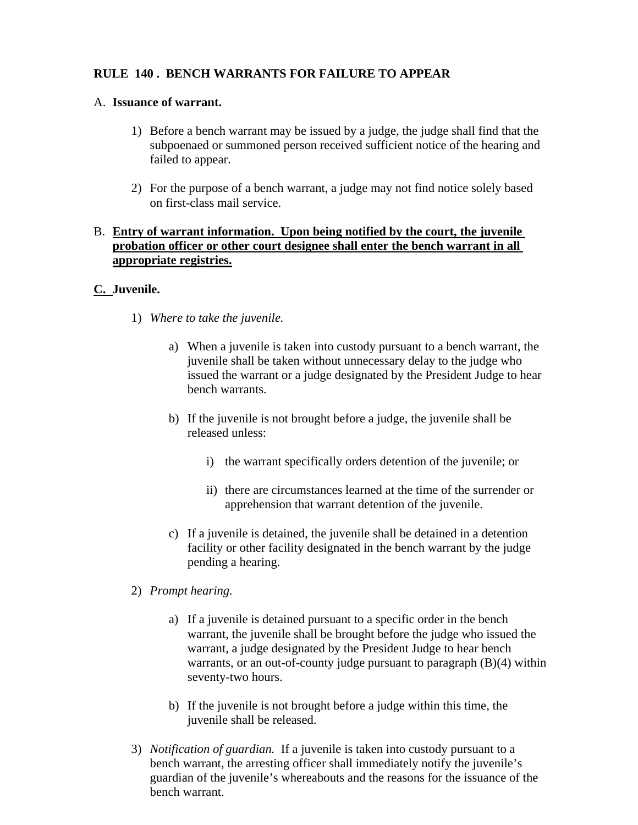## **RULE 140 . BENCH WARRANTS FOR FAILURE TO APPEAR**

### A. **Issuance of warrant.**

- 1) Before a bench warrant may be issued by a judge, the judge shall find that the subpoenaed or summoned person received sufficient notice of the hearing and failed to appear.
- 2) For the purpose of a bench warrant, a judge may not find notice solely based on first-class mail service.

## B. **Entry of warrant information. Upon being notified by the court, the juvenile probation officer or other court designee shall enter the bench warrant in all appropriate registries.**

## **C. Juvenile.**

- 1) *Where to take the juvenile.* 
	- a) When a juvenile is taken into custody pursuant to a bench warrant, the juvenile shall be taken without unnecessary delay to the judge who issued the warrant or a judge designated by the President Judge to hear bench warrants.
	- b) If the juvenile is not brought before a judge, the juvenile shall be released unless:
		- i) the warrant specifically orders detention of the juvenile; or
		- ii) there are circumstances learned at the time of the surrender or apprehension that warrant detention of the juvenile.
	- c) If a juvenile is detained, the juvenile shall be detained in a detention facility or other facility designated in the bench warrant by the judge pending a hearing.
- 2) *Prompt hearing.* 
	- a) If a juvenile is detained pursuant to a specific order in the bench warrant, the juvenile shall be brought before the judge who issued the warrant, a judge designated by the President Judge to hear bench warrants, or an out-of-county judge pursuant to paragraph (B)(4) within seventy-two hours.
	- b) If the juvenile is not brought before a judge within this time, the juvenile shall be released.
- 3) *Notification of guardian.* If a juvenile is taken into custody pursuant to a bench warrant, the arresting officer shall immediately notify the juvenile's guardian of the juvenile's whereabouts and the reasons for the issuance of the bench warrant.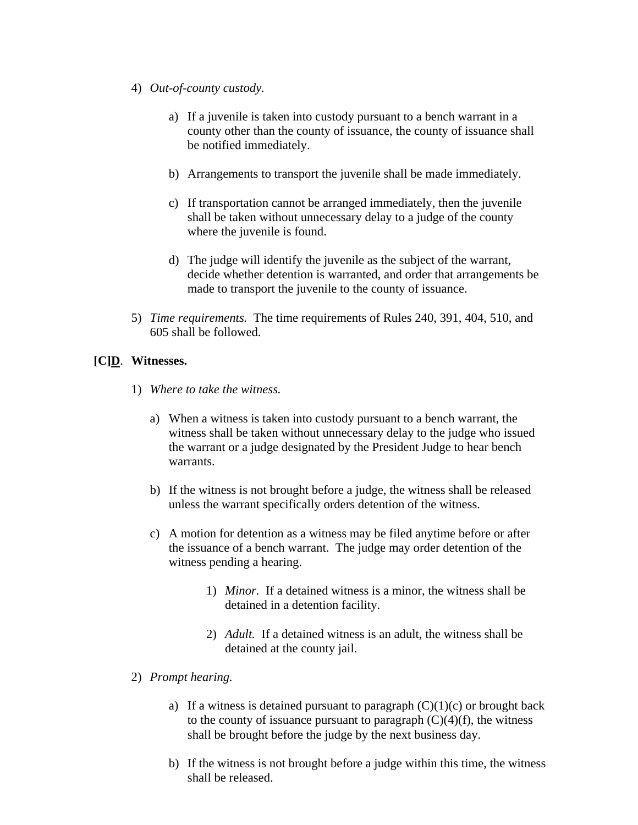- 4) *Out-of-county custody.* 
	- a) If a juvenile is taken into custody pursuant to a bench warrant in a county other than the county of issuance, the county of issuance shall be notified immediately.
	- b) Arrangements to transport the juvenile shall be made immediately.
	- c) If transportation cannot be arranged immediately, then the juvenile shall be taken without unnecessary delay to a judge of the county where the juvenile is found.
	- d) The judge will identify the juvenile as the subject of the warrant, decide whether detention is warranted, and order that arrangements be made to transport the juvenile to the county of issuance.
- 5) *Time requirements.* The time requirements of Rules 240, 391, 404, 510, and 605 shall be followed.

### **[C]D**. **Witnesses.**

- 1) *Where to take the witness.* 
	- a) When a witness is taken into custody pursuant to a bench warrant, the witness shall be taken without unnecessary delay to the judge who issued the warrant or a judge designated by the President Judge to hear bench warrants.
	- b) If the witness is not brought before a judge, the witness shall be released unless the warrant specifically orders detention of the witness.
	- c) A motion for detention as a witness may be filed anytime before or after the issuance of a bench warrant. The judge may order detention of the witness pending a hearing.
		- 1) *Minor.* If a detained witness is a minor, the witness shall be detained in a detention facility.
		- 2) *Adult.* If a detained witness is an adult, the witness shall be detained at the county jail.
- 2) *Prompt hearing.* 
	- a) If a witness is detained pursuant to paragraph  $(C)(1)(c)$  or brought back to the county of issuance pursuant to paragraph  $(C)(4)(f)$ , the witness shall be brought before the judge by the next business day.
	- b) If the witness is not brought before a judge within this time, the witness shall be released.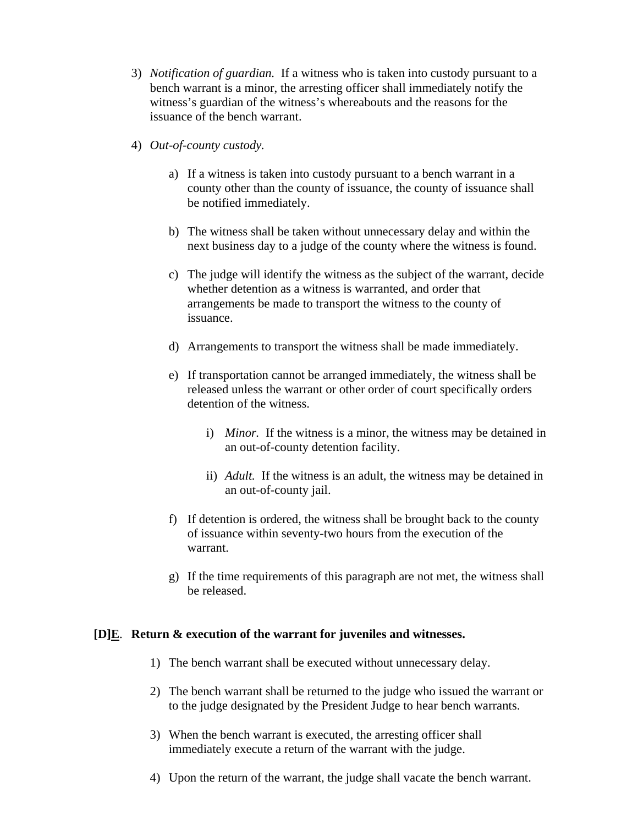- 3) *Notification of guardian.* If a witness who is taken into custody pursuant to a bench warrant is a minor, the arresting officer shall immediately notify the witness's guardian of the witness's whereabouts and the reasons for the issuance of the bench warrant.
- 4) *Out-of-county custody.* 
	- a) If a witness is taken into custody pursuant to a bench warrant in a county other than the county of issuance, the county of issuance shall be notified immediately.
	- b) The witness shall be taken without unnecessary delay and within the next business day to a judge of the county where the witness is found.
	- c) The judge will identify the witness as the subject of the warrant, decide whether detention as a witness is warranted, and order that arrangements be made to transport the witness to the county of issuance.
	- d) Arrangements to transport the witness shall be made immediately.
	- e) If transportation cannot be arranged immediately, the witness shall be released unless the warrant or other order of court specifically orders detention of the witness.
		- i) *Minor*. If the witness is a minor, the witness may be detained in an out-of-county detention facility.
		- ii) *Adult.* If the witness is an adult, the witness may be detained in an out-of-county jail.
	- f) If detention is ordered, the witness shall be brought back to the county of issuance within seventy-two hours from the execution of the warrant.
	- g) If the time requirements of this paragraph are not met, the witness shall be released.

#### **[D]E**. **Return & execution of the warrant for juveniles and witnesses.**

- 1) The bench warrant shall be executed without unnecessary delay.
- 2) The bench warrant shall be returned to the judge who issued the warrant or to the judge designated by the President Judge to hear bench warrants.
- 3) When the bench warrant is executed, the arresting officer shall immediately execute a return of the warrant with the judge.
- 4) Upon the return of the warrant, the judge shall vacate the bench warrant.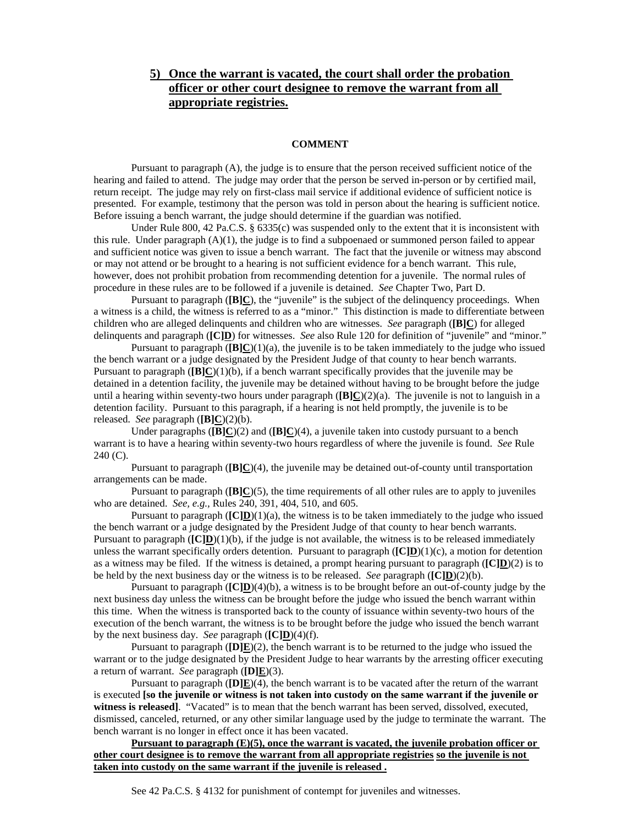### **5) Once the warrant is vacated, the court shall order the probation officer or other court designee to remove the warrant from all appropriate registries.**

#### **COMMENT**

Pursuant to paragraph (A), the judge is to ensure that the person received sufficient notice of the hearing and failed to attend. The judge may order that the person be served in-person or by certified mail, return receipt. The judge may rely on first-class mail service if additional evidence of sufficient notice is presented. For example, testimony that the person was told in person about the hearing is sufficient notice. Before issuing a bench warrant, the judge should determine if the guardian was notified.

Under Rule 800, 42 Pa.C.S. § 6335(c) was suspended only to the extent that it is inconsistent with this rule. Under paragraph (A)(1), the judge is to find a subpoenaed or summoned person failed to appear and sufficient notice was given to issue a bench warrant. The fact that the juvenile or witness may abscond or may not attend or be brought to a hearing is not sufficient evidence for a bench warrant. This rule, however, does not prohibit probation from recommending detention for a juvenile. The normal rules of procedure in these rules are to be followed if a juvenile is detained. *See* Chapter Two, Part D.

Pursuant to paragraph (**[B]C**), the "juvenile" is the subject of the delinquency proceedings. When a witness is a child, the witness is referred to as a "minor." This distinction is made to differentiate between children who are alleged delinquents and children who are witnesses. *See* paragraph (**[B]C**) for alleged delinquents and paragraph (**[C]D**) for witnesses. *See* also Rule 120 for definition of "juvenile" and "minor."

Pursuant to paragraph  $(\mathbf{B}|\mathbf{C})(1)(a)$ , the juvenile is to be taken immediately to the judge who issued the bench warrant or a judge designated by the President Judge of that county to hear bench warrants. Pursuant to paragraph (**[B]C**)(1)(b), if a bench warrant specifically provides that the juvenile may be detained in a detention facility, the juvenile may be detained without having to be brought before the judge until a hearing within seventy-two hours under paragraph (**[B]C**)(2)(a). The juvenile is not to languish in a detention facility. Pursuant to this paragraph, if a hearing is not held promptly, the juvenile is to be released. *See* paragraph (**[B]C**)(2)(b).

Under paragraphs (**[B]C**)(2) and (**[B]C**)(4), a juvenile taken into custody pursuant to a bench warrant is to have a hearing within seventy-two hours regardless of where the juvenile is found. *See* Rule  $240 (C)$ .

Pursuant to paragraph (**[B]C**)(4), the juvenile may be detained out-of-county until transportation arrangements can be made.

Pursuant to paragraph (**[B]C**)(5), the time requirements of all other rules are to apply to juveniles who are detained. *See, e.g.,* Rules 240, 391, 404, 510, and 605.

Pursuant to paragraph ( $[C]\underline{D}$ )(1)(a), the witness is to be taken immediately to the judge who issued the bench warrant or a judge designated by the President Judge of that county to hear bench warrants. Pursuant to paragraph  $(\mathbf{C}|\mathbf{D})(1)(b)$ , if the judge is not available, the witness is to be released immediately unless the warrant specifically orders detention. Pursuant to paragraph (**[C]D**)(1)(c), a motion for detention as a witness may be filed. If the witness is detained, a prompt hearing pursuant to paragraph (**[C]D**)(2) is to be held by the next business day or the witness is to be released. *See* paragraph (**[C]D**)(2)(b).

Pursuant to paragraph (**[C]D**)(4)(b), a witness is to be brought before an out-of-county judge by the next business day unless the witness can be brought before the judge who issued the bench warrant within this time. When the witness is transported back to the county of issuance within seventy-two hours of the execution of the bench warrant, the witness is to be brought before the judge who issued the bench warrant by the next business day. *See* paragraph (**[C]D**)(4)(f).

Pursuant to paragraph (**[D]E**)(2), the bench warrant is to be returned to the judge who issued the warrant or to the judge designated by the President Judge to hear warrants by the arresting officer executing a return of warrant. *See* paragraph (**[D]E**)(3).

Pursuant to paragraph (**[D]E**)(4), the bench warrant is to be vacated after the return of the warrant is executed **[so the juvenile or witness is not taken into custody on the same warrant if the juvenile or witness is released]**. "Vacated" is to mean that the bench warrant has been served, dissolved, executed, dismissed, canceled, returned, or any other similar language used by the judge to terminate the warrant. The bench warrant is no longer in effect once it has been vacated.

**Pursuant to paragraph (E)(5), once the warrant is vacated, the juvenile probation officer or other court designee is to remove the warrant from all appropriate registries so the juvenile is not taken into custody on the same warrant if the juvenile is released .**

See 42 Pa.C.S. § 4132 for punishment of contempt for juveniles and witnesses.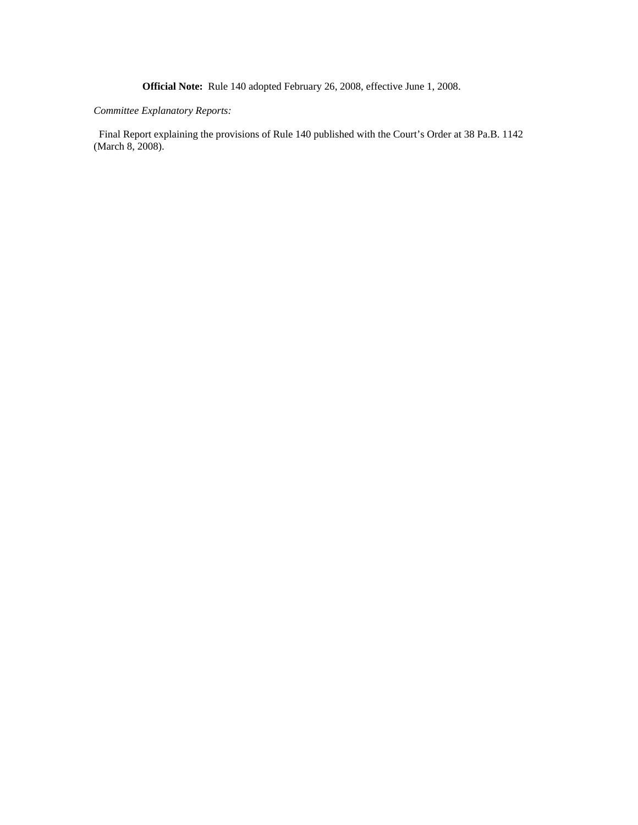**Official Note:** Rule 140 adopted February 26, 2008, effective June 1, 2008.

#### *Committee Explanatory Reports:*

 Final Report explaining the provisions of Rule 140 published with the Court's Order at 38 Pa.B. 1142 (March 8, 2008).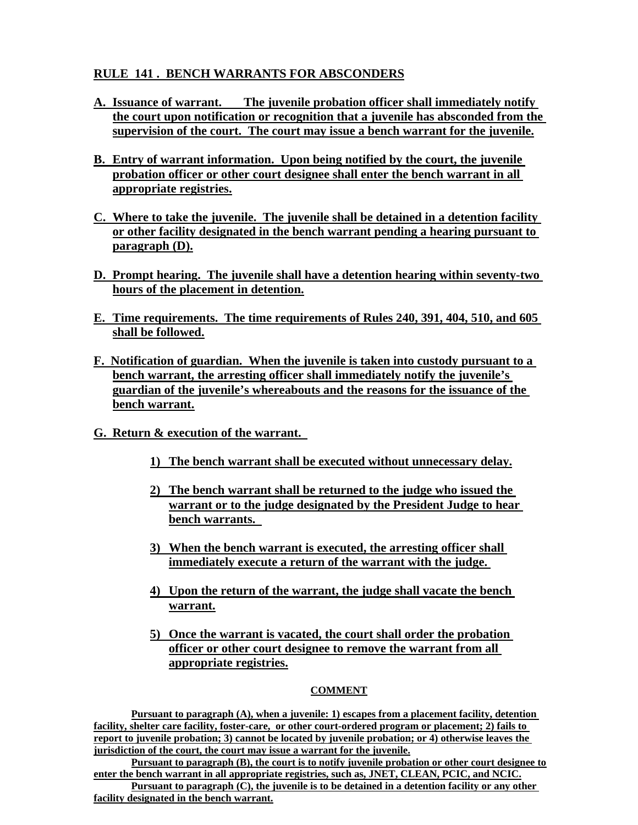## **RULE 141 . BENCH WARRANTS FOR ABSCONDERS**

- **A. Issuance of warrant. The juvenile probation officer shall immediately notify the court upon notification or recognition that a juvenile has absconded from the supervision of the court. The court may issue a bench warrant for the juvenile.**
- **B. Entry of warrant information. Upon being notified by the court, the juvenile probation officer or other court designee shall enter the bench warrant in all appropriate registries.**
- **C. Where to take the juvenile. The juvenile shall be detained in a detention facility or other facility designated in the bench warrant pending a hearing pursuant to paragraph (D).**
- **D. Prompt hearing. The juvenile shall have a detention hearing within seventy-two hours of the placement in detention.**
- **E. Time requirements. The time requirements of Rules 240, 391, 404, 510, and 605 shall be followed.**
- **F. Notification of guardian.****When the juvenile is taken into custody pursuant to a bench warrant, the arresting officer shall immediately notify the juvenile's guardian of the juvenile's whereabouts and the reasons for the issuance of the bench warrant.**
- **G. Return & execution of the warrant.** 
	- **1) The bench warrant shall be executed without unnecessary delay.**
	- **2) The bench warrant shall be returned to the judge who issued the warrant or to the judge designated by the President Judge to hear bench warrants.**
	- **3) When the bench warrant is executed, the arresting officer shall immediately execute a return of the warrant with the judge.**
	- **4) Upon the return of the warrant, the judge shall vacate the bench warrant.**
	- **5) Once the warrant is vacated, the court shall order the probation officer or other court designee to remove the warrant from all appropriate registries.**

#### **COMMENT**

**Pursuant to paragraph (A), when a juvenile: 1) escapes from a placement facility, detention facility, shelter care facility, foster-care, or other court-ordered program or placement; 2) fails to report to juvenile probation; 3) cannot be located by juvenile probation; or 4) otherwise leaves the jurisdiction of the court, the court may issue a warrant for the juvenile.**

**Pursuant to paragraph (B), the court is to notify juvenile probation or other court designee to enter the bench warrant in all appropriate registries, such as, JNET, CLEAN, PCIC, and NCIC. Pursuant to paragraph (C), the juvenile is to be detained in a detention facility or any other** 

**facility designated in the bench warrant.**